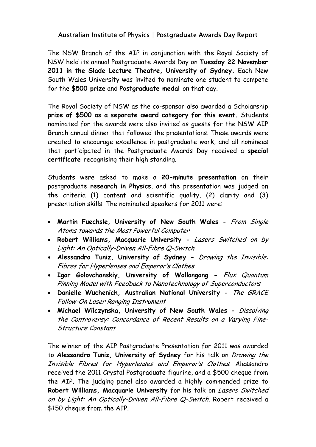## Australian Institute of Physics | Postgraduate Awards Day Report

The NSW Branch of the AIP in conjunction with the Royal Society of NSW held its annual Postgraduate Awards Day on **Tuesday 22 November 2011 in the Slade Lecture Theatre, University of Sydney.** Each New South Wales University was invited to nominate one student to compete for the **\$500 prize** and **Postgraduate medal** on that day.

The Royal Society of NSW as the co-sponsor also awarded a Scholarship **prize of \$500 as a separate award category for this event.** Students nominated for the awards were also invited as guests for the NSW AIP Branch annual dinner that followed the presentations. These awards were created to encourage excellence in postgraduate work, and all nominees that participated in the Postgraduate Awards Day received a **special certificate** recognising their high standing.

Students were asked to make a **20-minute presentation** on their postgraduate **research in Physics**, and the presentation was judged on the criteria (1) content and scientific quality, (2) clarity and (3) presentation skills. The nominated speakers for 2011 were:

- **Martin Fuechsle, University of New South Wales** From Single Atoms towards the Most Powerful Computer
- **Robert Williams, Macquarie University** Lasers Switched on by Light: An Optically-Driven All-Fibre Q-Switch
- **Alessandro Tuniz, University of Sydney** Drawing the Invisible: Fibres for Hyperlenses and Emperor's Clothes
- **Igor Golovchanskiy, University of Wollongong** Flux Quantum Pinning Model with Feedback to Nanotechnology of Superconductors
- **Danielle Wuchenich, Australian National University** The GRACE Follow-On Laser Ranging Instrument
- **Michael Wilczynska, University of New South Wales** Dissolving the Controversy: Concordance of Recent Results on a Varying Fine-Structure Constant

The winner of the AIP Postgraduate Presentation for 2011 was awarded to **Alessandro Tuniz, University of Sydney** for his talk on Drawing the Invisible Fibres for Hyperlenses and Emperor's Clothes. Alessandro received the 2011 Crystal Postgraduate figurine, and a \$500 cheque from the AIP. The judging panel also awarded a highly commended prize to **Robert Williams, Macquarie University** for his talk on Lasers Switched on by Light: An Optically-Driven All-Fibre Q-Switch. Robert received a \$150 cheque from the AIP.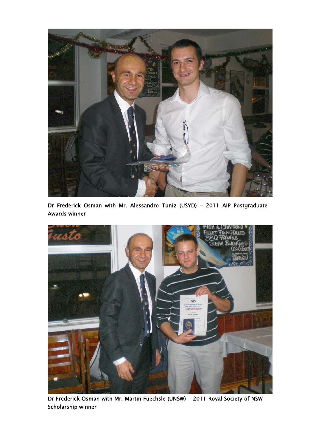

Dr Frederick Osman with Mr. Alessandro Tuniz (USYD) - 2011 AIP Postgraduate Awards winner



Dr Frederick Osman with Mr. Martin Fuechsle (UNSW) - 2011 Royal Society of NSW Scholarship winner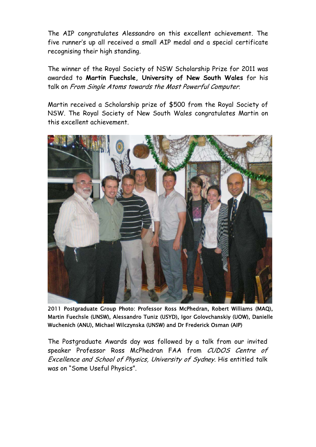The AIP congratulates Alessandro on this excellent achievement. The five runner's up all received a small AIP medal and a special certificate recognising their high standing.

The winner of the Royal Society of NSW Scholarship Prize for 2011 was awarded to **Martin Fuechsle, University of New South Wales** for his talk on From Single Atoms towards the Most Powerful Computer.

Martin received a Scholarship prize of \$500 from the Royal Society of NSW. The Royal Society of New South Wales congratulates Martin on this excellent achievement.



2011 Postgraduate Group Photo: Professor Ross McPhedran, Robert Williams (MAQ), Martin Fuechsle (UNSW), Alessandro Tuniz (USYD), Igor Golovchanskiy (UOW), Danielle Wuchenich (ANU), Michael Wilczynska (UNSW) and Dr Frederick Osman (AIP)

The Postgraduate Awards day was followed by a talk from our invited speaker Professor Ross McPhedran FAA from CUDOS Centre of Excellence and School of Physics, University of Sydney. His entitled talk was on "Some Useful Physics".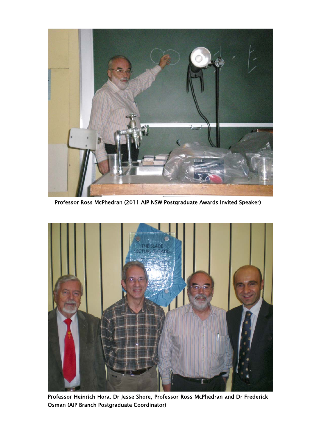

Professor Ross McPhedran (2011 AIP NSW Postgraduate Awards Invited Speaker)



Professor Heinrich Hora, Dr Jesse Shore, Professor Ross McPhedran and Dr Frederick Osman (AIP Branch Postgraduate Coordinator)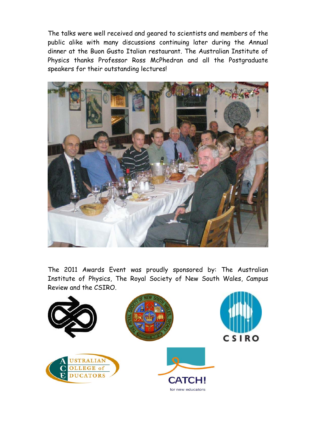The talks were well received and geared to scientists and members of the public alike with many discussions continuing later during the Annual dinner at the Buon Gusto Italian restaurant. The Australian Institute of Physics thanks Professor Ross McPhedran and all the Postgraduate speakers for their outstanding lectures!



The 2011 Awards Event was proudly sponsored by: The Australian Institute of Physics, The Royal Society of New South Wales, Campus Review and the CSIRO.